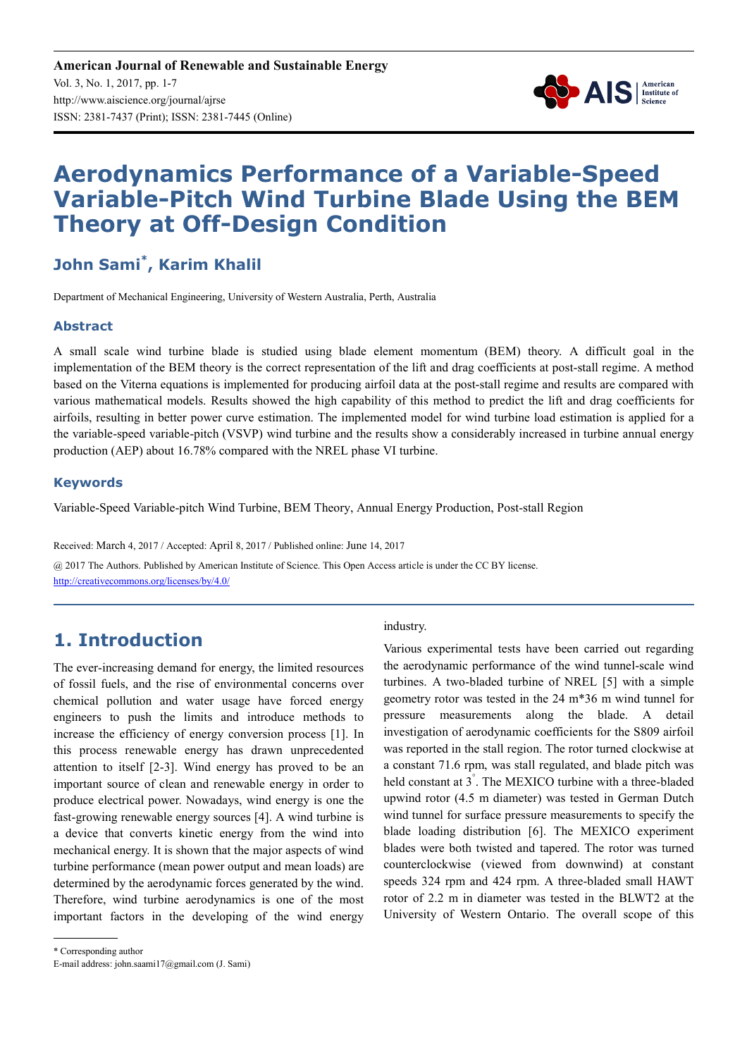

# **Aerodynamics Performance of a Variable-Speed Variable-Pitch Wind Turbine Blade Using the BEM Theory at Off-Design Condition**

# **John Sami\* , Karim Khalil**

Department of Mechanical Engineering, University of Western Australia, Perth, Australia

#### **Abstract**

A small scale wind turbine blade is studied using blade element momentum (BEM) theory. A difficult goal in the implementation of the BEM theory is the correct representation of the lift and drag coefficients at post-stall regime. A method based on the Viterna equations is implemented for producing airfoil data at the post-stall regime and results are compared with various mathematical models. Results showed the high capability of this method to predict the lift and drag coefficients for airfoils, resulting in better power curve estimation. The implemented model for wind turbine load estimation is applied for a the variable-speed variable-pitch (VSVP) wind turbine and the results show a considerably increased in turbine annual energy production (AEP) about 16.78% compared with the NREL phase VI turbine.

#### **Keywords**

Variable-Speed Variable-pitch Wind Turbine, BEM Theory, Annual Energy Production, Post-stall Region

Received: March 4, 2017 / Accepted: April 8, 2017 / Published online: June 14, 2017 @ 2017 The Authors. Published by American Institute of Science. This Open Access article is under the CC BY license. http://creativecommons.org/licenses/by/4.0/

## **1. Introduction**

The ever-increasing demand for energy, the limited resources of fossil fuels, and the rise of environmental concerns over chemical pollution and water usage have forced energy engineers to push the limits and introduce methods to increase the efficiency of energy conversion process [1]. In this process renewable energy has drawn unprecedented attention to itself [2-3]. Wind energy has proved to be an important source of clean and renewable energy in order to produce electrical power. Nowadays, wind energy is one the fast-growing renewable energy sources [4]. A wind turbine is a device that converts kinetic energy from the wind into mechanical energy. It is shown that the major aspects of wind turbine performance (mean power output and mean loads) are determined by the aerodynamic forces generated by the wind. Therefore, wind turbine aerodynamics is one of the most important factors in the developing of the wind energy industry.

Various experimental tests have been carried out regarding the aerodynamic performance of the wind tunnel-scale wind turbines. A two-bladed turbine of NREL [5] with a simple geometry rotor was tested in the 24 m\*36 m wind tunnel for pressure measurements along the blade. A detail investigation of aerodynamic coefficients for the S809 airfoil was reported in the stall region. The rotor turned clockwise at a constant 71.6 rpm, was stall regulated, and blade pitch was held constant at 3° . The MEXICO turbine with a three-bladed upwind rotor (4.5 m diameter) was tested in German Dutch wind tunnel for surface pressure measurements to specify the blade loading distribution [6]. The MEXICO experiment blades were both twisted and tapered. The rotor was turned counterclockwise (viewed from downwind) at constant speeds 324 rpm and 424 rpm. A three-bladed small HAWT rotor of 2.2 m in diameter was tested in the BLWT2 at the University of Western Ontario. The overall scope of this

<sup>\*</sup> Corresponding author

E-mail address: john.saami17@gmail.com (J. Sami)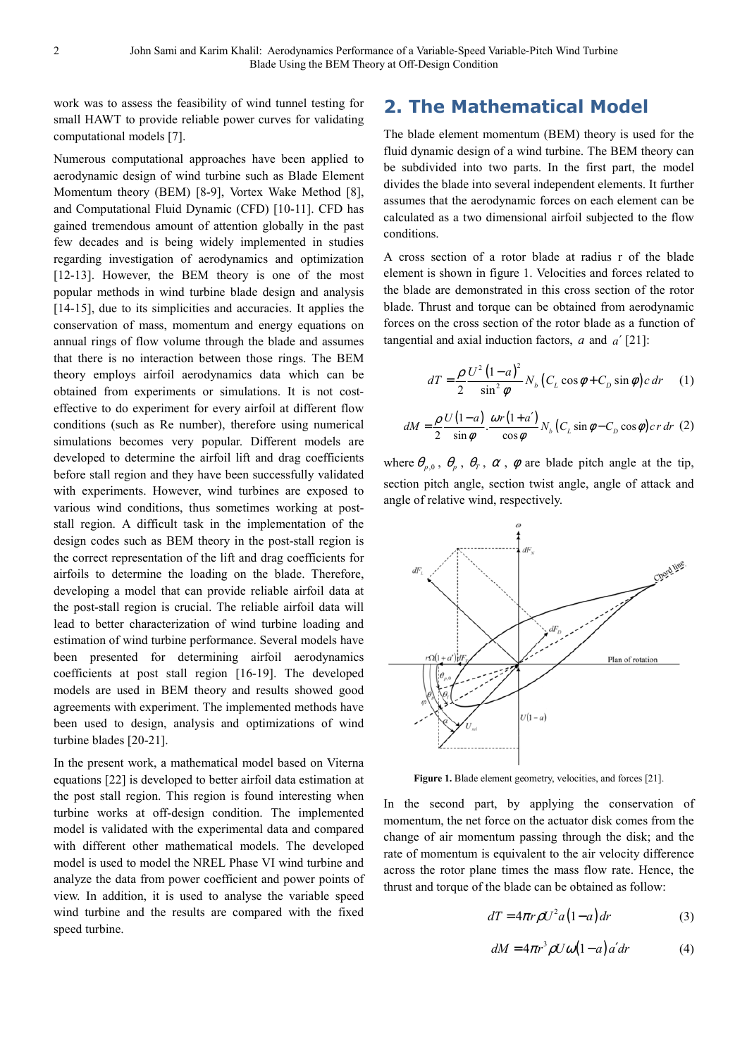work was to assess the feasibility of wind tunnel testing for small HAWT to provide reliable power curves for validating computational models [7].

Numerous computational approaches have been applied to aerodynamic design of wind turbine such as Blade Element Momentum theory (BEM) [8-9], Vortex Wake Method [8], and Computational Fluid Dynamic (CFD) [10-11]. CFD has gained tremendous amount of attention globally in the past few decades and is being widely implemented in studies regarding investigation of aerodynamics and optimization [12-13]. However, the BEM theory is one of the most popular methods in wind turbine blade design and analysis [14-15], due to its simplicities and accuracies. It applies the conservation of mass, momentum and energy equations on annual rings of flow volume through the blade and assumes that there is no interaction between those rings. The BEM theory employs airfoil aerodynamics data which can be obtained from experiments or simulations. It is not costeffective to do experiment for every airfoil at different flow conditions (such as Re number), therefore using numerical simulations becomes very popular. Different models are developed to determine the airfoil lift and drag coefficients before stall region and they have been successfully validated with experiments. However, wind turbines are exposed to various wind conditions, thus sometimes working at poststall region. A difficult task in the implementation of the design codes such as BEM theory in the post-stall region is the correct representation of the lift and drag coefficients for airfoils to determine the loading on the blade. Therefore, developing a model that can provide reliable airfoil data at the post-stall region is crucial. The reliable airfoil data will lead to better characterization of wind turbine loading and estimation of wind turbine performance. Several models have been presented for determining airfoil aerodynamics coefficients at post stall region [16-19]. The developed models are used in BEM theory and results showed good agreements with experiment. The implemented methods have been used to design, analysis and optimizations of wind turbine blades [20-21].

In the present work, a mathematical model based on Viterna equations [22] is developed to better airfoil data estimation at the post stall region. This region is found interesting when turbine works at off-design condition. The implemented model is validated with the experimental data and compared with different other mathematical models. The developed model is used to model the NREL Phase VI wind turbine and analyze the data from power coefficient and power points of view. In addition, it is used to analyse the variable speed wind turbine and the results are compared with the fixed speed turbine.

### **2. The Mathematical Model**

The blade element momentum (BEM) theory is used for the fluid dynamic design of a wind turbine. The BEM theory can be subdivided into two parts. In the first part, the model divides the blade into several independent elements. It further assumes that the aerodynamic forces on each element can be calculated as a two dimensional airfoil subjected to the flow conditions.

A cross section of a rotor blade at radius r of the blade element is shown in figure 1. Velocities and forces related to the blade are demonstrated in this cross section of the rotor blade. Thrust and torque can be obtained from aerodynamic forces on the cross section of the rotor blade as a function of tangential and axial induction factors, *a* and *a*′ [21]:

$$
dT = \frac{\rho}{2} \frac{U^2 (1 - a)^2}{\sin^2 \phi} N_b (C_L \cos \phi + C_D \sin \phi) c dr \tag{1}
$$

$$
dM = \frac{\rho U(1-a)}{2} \cdot \frac{\omega r(1+a')}{\cos \phi} N_b (C_L \sin \phi - C_D \cos \phi) cr dr (2)
$$

where  $\theta_{p,0}$ ,  $\theta_p$ ,  $\theta_T$ ,  $\alpha$ ,  $\phi$  are blade pitch angle at the tip, section pitch angle, section twist angle, angle of attack and angle of relative wind, respectively.



Figure 1. Blade element geometry, velocities, and forces [21].

In the second part, by applying the conservation of momentum, the net force on the actuator disk comes from the change of air momentum passing through the disk; and the rate of momentum is equivalent to the air velocity difference across the rotor plane times the mass flow rate. Hence, the thrust and torque of the blade can be obtained as follow:

$$
dT = 4\pi r \rho U^2 a (1 - a) dr \tag{3}
$$

$$
dM = 4\pi r^3 \rho U \omega (1 - a) a' dr \tag{4}
$$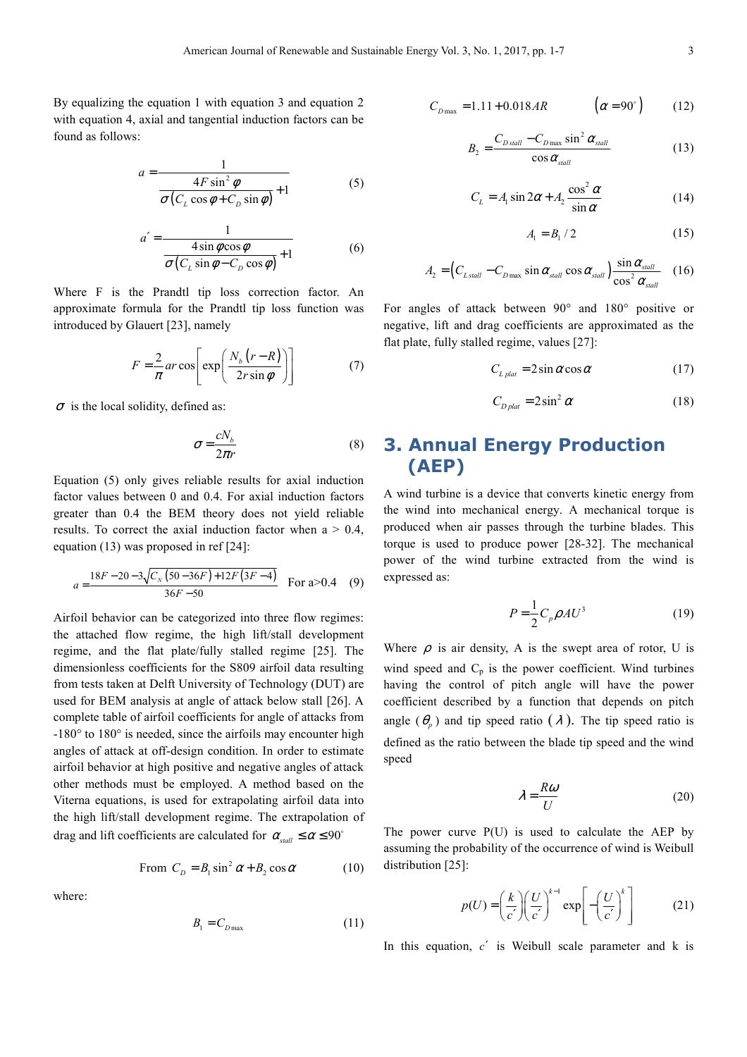By equalizing the equation 1 with equation 3 and equation 2 with equation 4, axial and tangential induction factors can be found as follows:

$$
a = \frac{1}{\frac{4F\sin^2\phi}{\sigma(C_L\cos\phi + C_D\sin\phi)} + 1}
$$
 (5)

$$
a' = \frac{1}{\frac{4\sin\phi\cos\phi}{\sigma(C_L\sin\phi - C_D\cos\phi)} + 1}
$$
(6)

Where F is the Prandtl tip loss correction factor. An approximate formula for the Prandtl tip loss function was introduced by Glauert [23], namely

$$
F = \frac{2}{\pi} ar \cos \left[ \exp \left( \frac{N_b (r - R)}{2r \sin \phi} \right) \right]
$$
 (7)

 $\sigma$  is the local solidity, defined as:

$$
\sigma = \frac{cN_b}{2\pi r} \tag{8}
$$

Equation (5) only gives reliable results for axial induction factor values between 0 and 0.4. For axial induction factors greater than 0.4 the BEM theory does not yield reliable results. To correct the axial induction factor when  $a > 0.4$ , equation (13) was proposed in ref [24]:

$$
a = \frac{18F - 20 - 3\sqrt{C_N (50 - 36F) + 12F (3F - 4)}}{36F - 50}
$$
 For a>0.4 (9)

Airfoil behavior can be categorized into three flow regimes: the attached flow regime, the high lift/stall development regime, and the flat plate/fully stalled regime [25]. The dimensionless coefficients for the S809 airfoil data resulting from tests taken at Delft University of Technology (DUT) are used for BEM analysis at angle of attack below stall [26]. A complete table of airfoil coefficients for angle of attacks from -180° to 180° is needed, since the airfoils may encounter high angles of attack at off-design condition. In order to estimate airfoil behavior at high positive and negative angles of attack other methods must be employed. A method based on the Viterna equations, is used for extrapolating airfoil data into the high lift/stall development regime. The extrapolation of drag and lift coefficients are calculated for  $\alpha_{\text{stall}} \le \alpha \le 90^{\circ}$ 

From 
$$
C_D = B_1 \sin^2 \alpha + B_2 \cos \alpha
$$
 (10)

where:

$$
B_{1} = C_{D\max} \tag{11}
$$

$$
C_{D\max} = 1.11 + 0.018AR \qquad (\alpha = 90^{\circ}) \qquad (12)
$$

$$
B_2 = \frac{C_{D \, \text{stall}} - C_{D \, \text{max}} \sin^2 \alpha_{\text{stall}}}{\cos \alpha_{\text{stall}}} \tag{13}
$$

$$
C_L = A_1 \sin 2\alpha + A_2 \frac{\cos^2 \alpha}{\sin \alpha}
$$
 (14)

$$
A_1 = B_1 / 2 \tag{15}
$$

$$
A_2 = \left(C_{L \, \text{stall}} - C_{D \, \text{max}} \sin \alpha_{\text{stall}} \cos \alpha_{\text{stall}}\right) \frac{\sin \alpha_{\text{stall}}}{\cos^2 \alpha_{\text{stall}}} \quad (16)
$$

For angles of attack between 90° and 180° positive or negative, lift and drag coefficients are approximated as the flat plate, fully stalled regime, values [27]:

$$
C_{L\text{plat}} = 2\sin\alpha\cos\alpha\tag{17}
$$

$$
C_{D\,plat} = 2\sin^2\alpha\tag{18}
$$

### **3. Annual Energy Production (AEP)**

A wind turbine is a device that converts kinetic energy from the wind into mechanical energy. A mechanical torque is produced when air passes through the turbine blades. This torque is used to produce power [28-32]. The mechanical power of the wind turbine extracted from the wind is expressed as:

$$
P = \frac{1}{2}C_p \rho A U^3 \tag{19}
$$

Where  $\rho$  is air density, A is the swept area of rotor, U is wind speed and  $C_p$  is the power coefficient. Wind turbines having the control of pitch angle will have the power coefficient described by a function that depends on pitch angle  $(\theta_p)$  and tip speed ratio  $(\lambda)$ . The tip speed ratio is defined as the ratio between the blade tip speed and the wind speed

$$
\lambda = \frac{R\omega}{U} \tag{20}
$$

The power curve P(U) is used to calculate the AEP by assuming the probability of the occurrence of wind is Weibull distribution [25]:

$$
p(U) = \left(\frac{k}{c'}\right) \left(\frac{U}{c'}\right)^{k-1} \exp\left[-\left(\frac{U}{c'}\right)^k\right]
$$
 (21)

In this equation, *c*′ is Weibull scale parameter and k is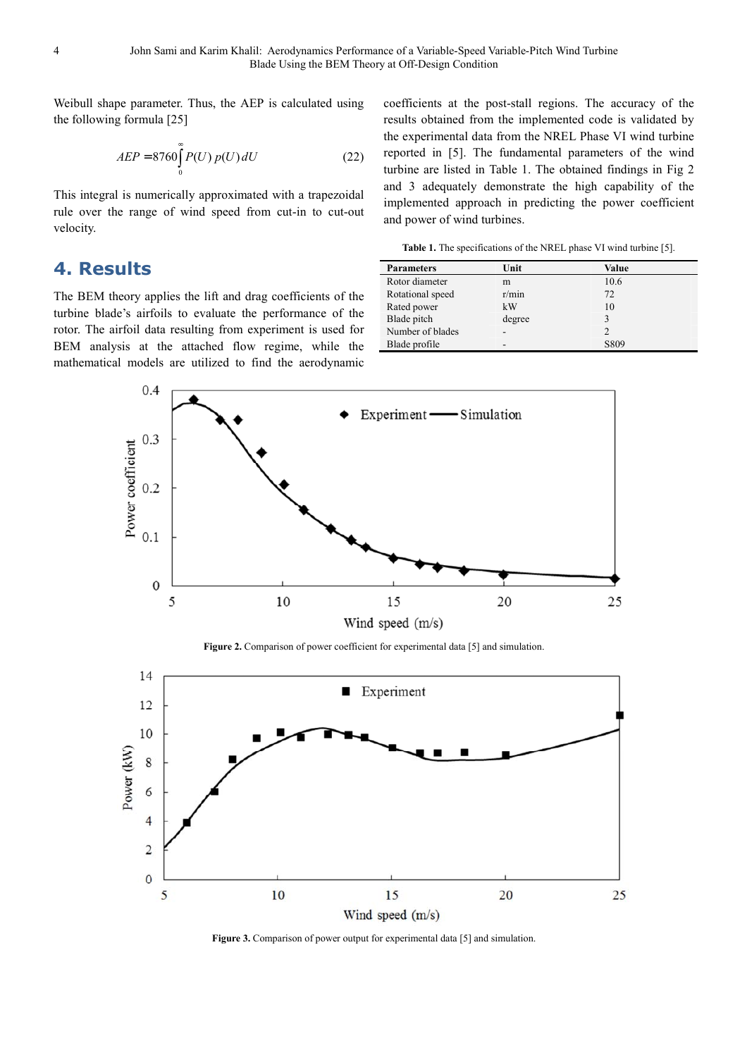Weibull shape parameter. Thus, the AEP is calculated using the following formula [25]

$$
AEP = 8760 \int_{0}^{\infty} P(U) p(U) dU
$$
 (22)

This integral is numerically approximated with a trapezoidal rule over the range of wind speed from cut-in to cut-out velocity.

#### **4. Results**

The BEM theory applies the lift and drag coefficients of the turbine blade's airfoils to evaluate the performance of the rotor. The airfoil data resulting from experiment is used for BEM analysis at the attached flow regime, while the mathematical models are utilized to find the aerodynamic coefficients at the post-stall regions. The accuracy of the results obtained from the implemented code is validated by the experimental data from the NREL Phase VI wind turbine reported in [5]. The fundamental parameters of the wind turbine are listed in Table 1. The obtained findings in Fig 2 and 3 adequately demonstrate the high capability of the implemented approach in predicting the power coefficient and power of wind turbines.

Table 1. The specifications of the NREL phase VI wind turbine [5].

| <b>Parameters</b> | Unit   | Value |  |
|-------------------|--------|-------|--|
| Rotor diameter    | m      | 10.6  |  |
| Rotational speed  | r/min  | 72    |  |
| Rated power       | kW     | 10    |  |
| Blade pitch       | degree |       |  |
| Number of blades  |        |       |  |
| Blade profile     | -      | S809  |  |



Figure 2. Comparison of power coefficient for experimental data [5] and simulation.



Figure 3. Comparison of power output for experimental data [5] and simulation.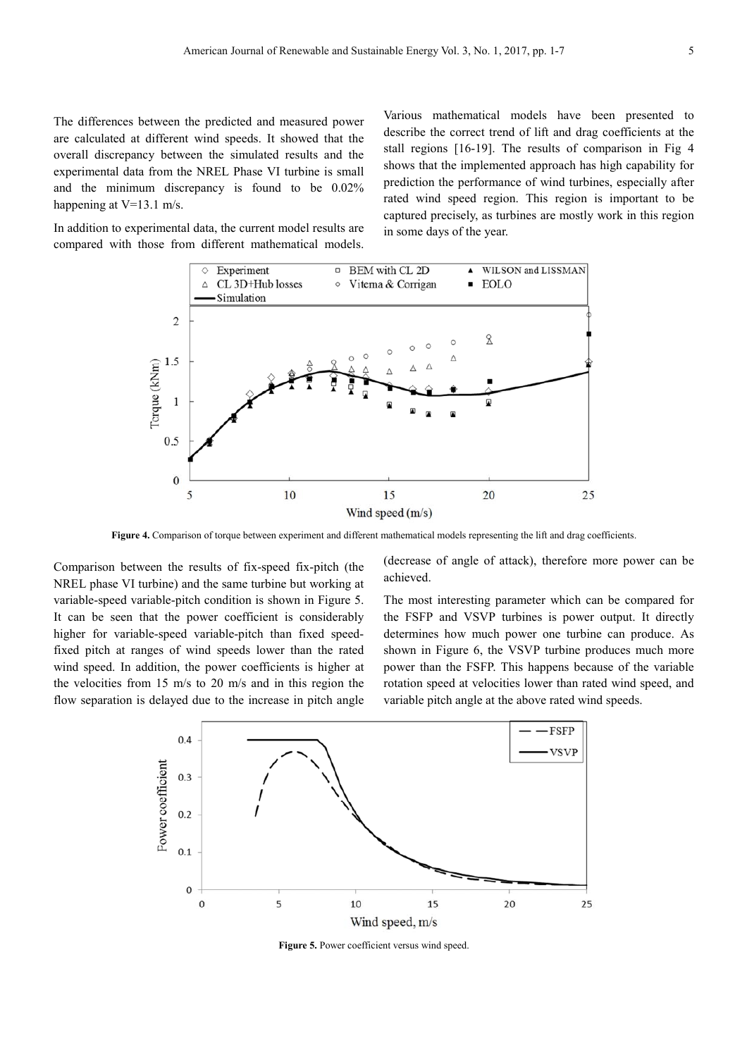The differences between the predicted and measured power are calculated at different wind speeds. It showed that the overall discrepancy between the simulated results and the experimental data from the NREL Phase VI turbine is small and the minimum discrepancy is found to be 0.02% happening at V=13.1 m/s.

In addition to experimental data, the current model results are compared with those from different mathematical models. Various mathematical models have been presented to describe the correct trend of lift and drag coefficients at the stall regions [16-19]. The results of comparison in Fig 4 shows that the implemented approach has high capability for prediction the performance of wind turbines, especially after rated wind speed region. This region is important to be captured precisely, as turbines are mostly work in this region in some days of the year.



**Figure 4.** Comparison of torque between experiment and different mathematical models representing the lift and drag coefficients.

Comparison between the results of fix-speed fix-pitch (the NREL phase VI turbine) and the same turbine but working at variable-speed variable-pitch condition is shown in Figure 5. It can be seen that the power coefficient is considerably higher for variable-speed variable-pitch than fixed speedfixed pitch at ranges of wind speeds lower than the rated wind speed. In addition, the power coefficients is higher at the velocities from 15 m/s to 20 m/s and in this region the flow separation is delayed due to the increase in pitch angle (decrease of angle of attack), therefore more power can be achieved.

The most interesting parameter which can be compared for the FSFP and VSVP turbines is power output. It directly determines how much power one turbine can produce. As shown in Figure 6, the VSVP turbine produces much more power than the FSFP. This happens because of the variable rotation speed at velocities lower than rated wind speed, and variable pitch angle at the above rated wind speeds.



Figure 5. Power coefficient versus wind speed.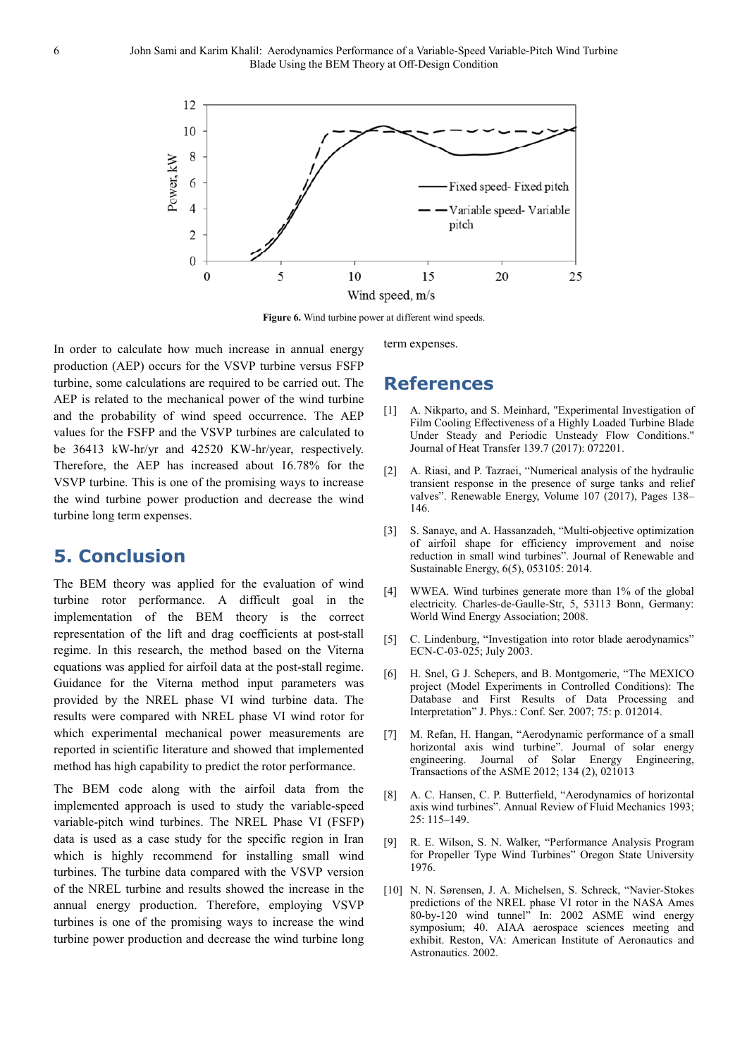

Figure 6. Wind turbine power at different wind speeds.

In order to calculate how much increase in annual energy production (AEP) occurs for the VSVP turbine versus FSFP turbine, some calculations are required to be carried out. The AEP is related to the mechanical power of the wind turbine and the probability of wind speed occurrence. The AEP values for the FSFP and the VSVP turbines are calculated to be 36413 kW-hr/yr and 42520 KW-hr/year, respectively. Therefore, the AEP has increased about 16.78% for the VSVP turbine. This is one of the promising ways to increase the wind turbine power production and decrease the wind turbine long term expenses.

#### **5. Conclusion**

The BEM theory was applied for the evaluation of wind turbine rotor performance. A difficult goal in the implementation of the BEM theory is the correct representation of the lift and drag coefficients at post-stall regime. In this research, the method based on the Viterna equations was applied for airfoil data at the post-stall regime. Guidance for the Viterna method input parameters was provided by the NREL phase VI wind turbine data. The results were compared with NREL phase VI wind rotor for which experimental mechanical power measurements are reported in scientific literature and showed that implemented method has high capability to predict the rotor performance.

The BEM code along with the airfoil data from the implemented approach is used to study the variable-speed variable-pitch wind turbines. The NREL Phase VI (FSFP) data is used as a case study for the specific region in Iran which is highly recommend for installing small wind turbines. The turbine data compared with the VSVP version of the NREL turbine and results showed the increase in the annual energy production. Therefore, employing VSVP turbines is one of the promising ways to increase the wind turbine power production and decrease the wind turbine long

term expenses.

### **References**

- [1] A. Nikparto, and S. Meinhard, "Experimental Investigation of Film Cooling Effectiveness of a Highly Loaded Turbine Blade Under Steady and Periodic Unsteady Flow Conditions." Journal of Heat Transfer 139.7 (2017): 072201.
- [2] A. Riasi, and P. Tazraei, "Numerical analysis of the hydraulic transient response in the presence of surge tanks and relief valves". Renewable Energy, Volume 107 (2017), Pages 138– 146.
- [3] S. Sanaye, and A. Hassanzadeh, "Multi-objective optimization of airfoil shape for efficiency improvement and noise reduction in small wind turbines". Journal of Renewable and Sustainable Energy, 6(5), 053105: 2014.
- [4] WWEA. Wind turbines generate more than 1% of the global electricity. Charles-de-Gaulle-Str, 5, 53113 Bonn, Germany: World Wind Energy Association; 2008.
- [5] C. Lindenburg, "Investigation into rotor blade aerodynamics" ECN-C-03-025; July 2003.
- [6] H. Snel, G J. Schepers, and B. Montgomerie, "The MEXICO project (Model Experiments in Controlled Conditions): The Database and First Results of Data Processing and Interpretation" J. Phys.: Conf. Ser. 2007; 75: p. 012014.
- [7] M. Refan, H. Hangan, "Aerodynamic performance of a small horizontal axis wind turbine". Journal of solar energy engineering. Journal of Solar Energy Engineering, Transactions of the ASME 2012; 134 (2), 021013
- [8] A. C. Hansen, C. P. Butterfield, "Aerodynamics of horizontal axis wind turbines". Annual Review of Fluid Mechanics 1993; 25: 115–149.
- [9] R. E. Wilson, S. N. Walker, "Performance Analysis Program for Propeller Type Wind Turbines" Oregon State University 1976.
- [10] N. N. Sørensen, J. A. Michelsen, S. Schreck, "Navier-Stokes predictions of the NREL phase VI rotor in the NASA Ames  $80$ -by-120 wind tunnel" In: 2002 ASME wind energy symposium; 40. AIAA aerospace sciences meeting and exhibit. Reston, VA: American Institute of Aeronautics and Astronautics. 2002.